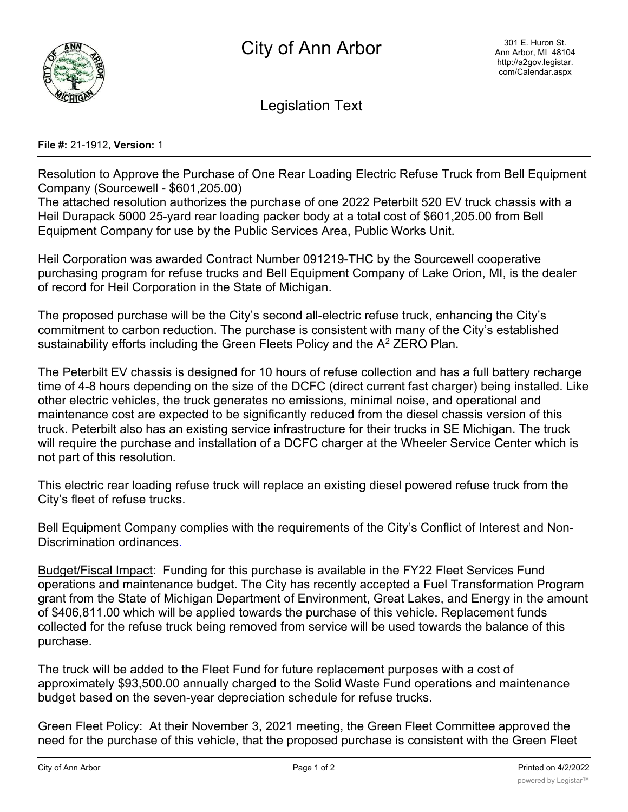

Legislation Text

## **File #:** 21-1912, **Version:** 1

Resolution to Approve the Purchase of One Rear Loading Electric Refuse Truck from Bell Equipment Company (Sourcewell - \$601,205.00)

The attached resolution authorizes the purchase of one 2022 Peterbilt 520 EV truck chassis with a Heil Durapack 5000 25-yard rear loading packer body at a total cost of \$601,205.00 from Bell Equipment Company for use by the Public Services Area, Public Works Unit.

Heil Corporation was awarded Contract Number 091219-THC by the Sourcewell cooperative purchasing program for refuse trucks and Bell Equipment Company of Lake Orion, MI, is the dealer of record for Heil Corporation in the State of Michigan.

The proposed purchase will be the City's second all-electric refuse truck, enhancing the City's commitment to carbon reduction. The purchase is consistent with many of the City's established sustainability efforts including the Green Fleets Policy and the  $A<sup>2</sup>$  ZERO Plan.

The Peterbilt EV chassis is designed for 10 hours of refuse collection and has a full battery recharge time of 4-8 hours depending on the size of the DCFC (direct current fast charger) being installed. Like other electric vehicles, the truck generates no emissions, minimal noise, and operational and maintenance cost are expected to be significantly reduced from the diesel chassis version of this truck. Peterbilt also has an existing service infrastructure for their trucks in SE Michigan. The truck will require the purchase and installation of a DCFC charger at the Wheeler Service Center which is not part of this resolution.

This electric rear loading refuse truck will replace an existing diesel powered refuse truck from the City's fleet of refuse trucks.

Bell Equipment Company complies with the requirements of the City's Conflict of Interest and Non-Discrimination ordinances.

Budget/Fiscal Impact: Funding for this purchase is available in the FY22 Fleet Services Fund operations and maintenance budget. The City has recently accepted a Fuel Transformation Program grant from the State of Michigan Department of Environment, Great Lakes, and Energy in the amount of \$406,811.00 which will be applied towards the purchase of this vehicle. Replacement funds collected for the refuse truck being removed from service will be used towards the balance of this purchase.

The truck will be added to the Fleet Fund for future replacement purposes with a cost of approximately \$93,500.00 annually charged to the Solid Waste Fund operations and maintenance budget based on the seven-year depreciation schedule for refuse trucks.

Green Fleet Policy: At their November 3, 2021 meeting, the Green Fleet Committee approved the need for the purchase of this vehicle, that the proposed purchase is consistent with the Green Fleet